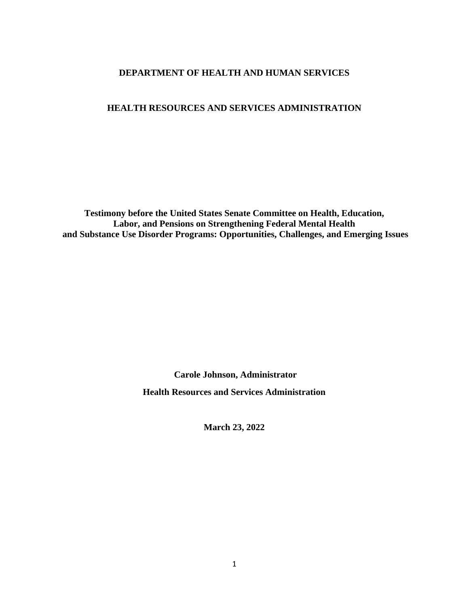## **DEPARTMENT OF HEALTH AND HUMAN SERVICES**

#### **HEALTH RESOURCES AND SERVICES ADMINISTRATION**

**Testimony before the United States Senate Committee on Health, Education, Labor, and Pensions on Strengthening Federal Mental Health and Substance Use Disorder Programs: Opportunities, Challenges, and Emerging Issues**

> **Carole Johnson, Administrator Health Resources and Services Administration**

> > **March 23, 2022**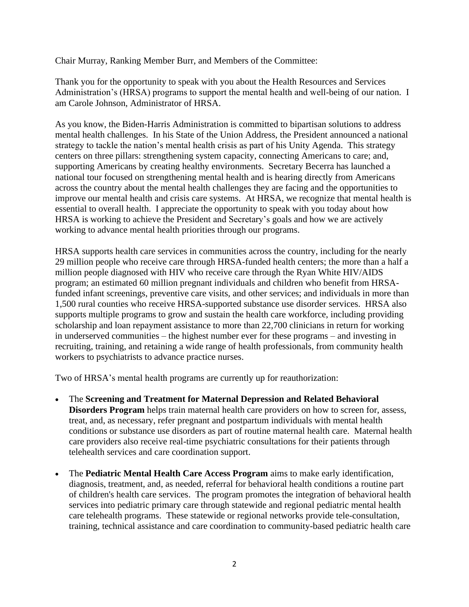Chair Murray, Ranking Member Burr, and Members of the Committee:

Thank you for the opportunity to speak with you about the Health Resources and Services Administration's (HRSA) programs to support the mental health and well-being of our nation. I am Carole Johnson, Administrator of HRSA.

As you know, the Biden-Harris Administration is committed to bipartisan solutions to address mental health challenges. In his State of the Union Address, the President announced a national strategy to tackle the nation's mental health crisis as part of his Unity Agenda. This strategy centers on three pillars: strengthening system capacity, connecting Americans to care; and, supporting Americans by creating healthy environments. Secretary Becerra has launched a national tour focused on strengthening mental health and is hearing directly from Americans across the country about the mental health challenges they are facing and the opportunities to improve our mental health and crisis care systems. At HRSA, we recognize that mental health is essential to overall health. I appreciate the opportunity to speak with you today about how HRSA is working to achieve the President and Secretary's goals and how we are actively working to advance mental health priorities through our programs.

HRSA supports health care services in communities across the country, including for the nearly 29 million people who receive care through HRSA-funded health centers; the more than a half a million people diagnosed with HIV who receive care through the Ryan White HIV/AIDS program; an estimated 60 million pregnant individuals and children who benefit from HRSAfunded infant screenings, preventive care visits, and other services; and individuals in more than 1,500 rural counties who receive HRSA-supported substance use disorder services. HRSA also supports multiple programs to grow and sustain the health care workforce, including providing scholarship and loan repayment assistance to more than 22,700 clinicians in return for working in underserved communities – the highest number ever for these programs – and investing in recruiting, training, and retaining a wide range of health professionals, from community health workers to psychiatrists to advance practice nurses.

Two of HRSA's mental health programs are currently up for reauthorization:

- The **Screening and Treatment for Maternal Depression and Related Behavioral Disorders Program** helps train maternal health care providers on how to screen for, assess, treat, and, as necessary, refer pregnant and postpartum individuals with mental health conditions or substance use disorders as part of routine maternal health care. Maternal health care providers also receive real-time psychiatric consultations for their patients through telehealth services and care coordination support.
- The **Pediatric Mental Health Care Access Program** aims to make early identification, diagnosis, treatment, and, as needed, referral for behavioral health conditions a routine part of children's health care services. The program promotes the integration of behavioral health services into pediatric primary care through statewide and regional pediatric mental health care telehealth programs. These statewide or regional networks provide tele-consultation, training, technical assistance and care coordination to community-based pediatric health care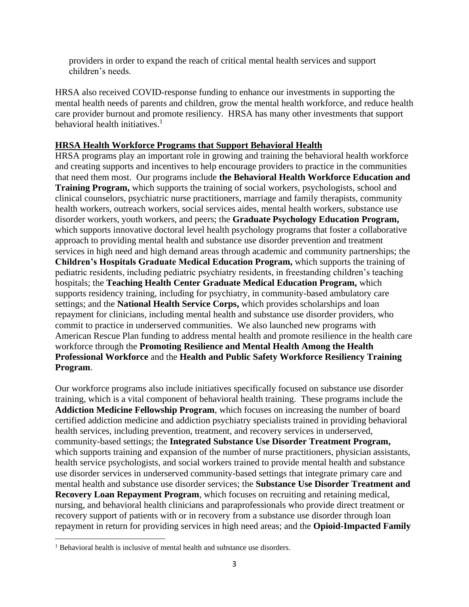providers in order to expand the reach of critical mental health services and support children's needs.

HRSA also received COVID-response funding to enhance our investments in supporting the mental health needs of parents and children, grow the mental health workforce, and reduce health care provider burnout and promote resiliency. HRSA has many other investments that support behavioral health initiatives. $1$ 

#### **HRSA Health Workforce Programs that Support Behavioral Health**

HRSA programs play an important role in growing and training the behavioral health workforce and creating supports and incentives to help encourage providers to practice in the communities that need them most.Our programs include **the Behavioral Health Workforce Education and Training Program,** which supports the training of social workers, psychologists, school and clinical counselors, psychiatric nurse practitioners, marriage and family therapists, community health workers, outreach workers, social services aides, mental health workers, substance use disorder workers, youth workers, and peers; the **Graduate Psychology Education Program,**  which supports innovative doctoral level health psychology programs that foster a collaborative approach to providing mental health and substance use disorder prevention and treatment services in high need and high demand areas through academic and community partnerships; the **Children's Hospitals Graduate Medical Education Program,** which supports the training of pediatric residents, including pediatric psychiatry residents, in freestanding children's teaching hospitals; the **Teaching Health Center Graduate Medical Education Program,** which supports residency training, including for psychiatry, in community-based ambulatory care settings; and the **National Health Service Corps,** which provides scholarships and loan repayment for clinicians, including mental health and substance use disorder providers, who commit to practice in underserved communities. We also launched new programs with American Rescue Plan funding to address mental health and promote resilience in the health care workforce through the **Promoting Resilience and Mental Health Among the Health Professional Workforce** and the **Health and Public Safety Workforce Resiliency Training Program**.

Our workforce programs also include initiatives specifically focused on substance use disorder training, which is a vital component of behavioral health training.These programs include the **Addiction Medicine Fellowship Program**, which focuses on increasing the number of board certified addiction medicine and addiction psychiatry specialists trained in providing behavioral health services, including prevention, treatment, and recovery services in underserved, community-based settings; the **Integrated Substance Use Disorder Treatment Program,**  which supports training and expansion of the number of nurse practitioners, physician assistants, health service psychologists, and social workers trained to provide mental health and substance use disorder services in underserved community-based settings that integrate primary care and mental health and substance use disorder services; the **Substance Use Disorder Treatment and Recovery Loan Repayment Program**, which focuses on recruiting and retaining medical, nursing, and behavioral health clinicians and paraprofessionals who provide direct treatment or recovery support of patients with or in recovery from a substance use disorder through loan repayment in return for providing services in high need areas; and the **Opioid-Impacted Family** 

<sup>&</sup>lt;sup>1</sup> Behavioral health is inclusive of mental health and substance use disorders.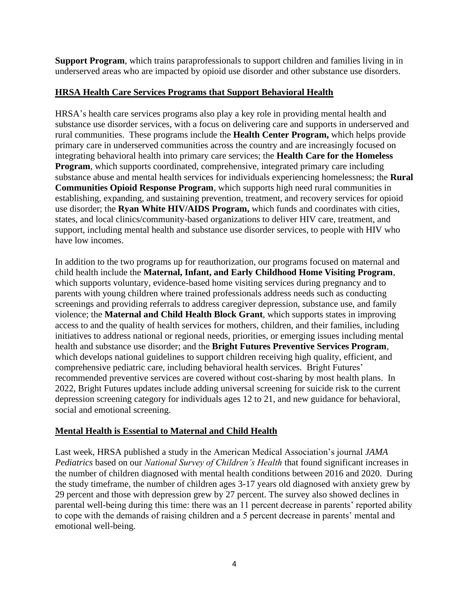**Support Program**, which trains paraprofessionals to support children and families living in in underserved areas who are impacted by opioid use disorder and other substance use disorders.

## **HRSA Health Care Services Programs that Support Behavioral Health**

HRSA's health care services programs also play a key role in providing mental health and substance use disorder services, with a focus on delivering care and supports in underserved and rural communities. These programs include the **Health Center Program,** which helps provide primary care in underserved communities across the country and are increasingly focused on integrating behavioral health into primary care services; the **Health Care for the Homeless Program**, which supports coordinated, comprehensive, integrated primary care including substance abuse and mental health services for individuals experiencing homelessness; the **Rural Communities Opioid Response Program**, which supports high need rural communities in establishing, expanding, and sustaining prevention, treatment, and recovery services for opioid use disorder; the **Ryan White HIV/AIDS Program,** which funds and coordinates with cities, states, and local clinics/community-based organizations to deliver HIV care, treatment, and support, including mental health and substance use disorder services, to people with HIV who have low incomes.

In addition to the two programs up for reauthorization, our programs focused on maternal and child health include the **Maternal, Infant, and Early Childhood Home Visiting Program**, which supports voluntary, evidence-based home visiting services during pregnancy and to parents with young children where trained professionals address needs such as conducting screenings and providing referrals to address caregiver depression, substance use, and family violence; the **Maternal and Child Health Block Grant**, which supports states in improving access to and the quality of health services for mothers, children, and their families, including initiatives to address national or regional needs, priorities, or emerging issues including mental health and substance use disorder; and the **Bright Futures Preventive Services Program**, which develops national guidelines to support children receiving high quality, efficient, and comprehensive pediatric care, including behavioral health services. Bright Futures' recommended preventive services are covered without cost-sharing by most health plans. In 2022, Bright Futures updates include adding universal screening for suicide risk to the current depression screening category for individuals ages 12 to 21, and new guidance for behavioral, social and emotional screening.

# **Mental Health is Essential to Maternal and Child Health**

Last week, HRSA published a study in the American Medical Association's journal *JAMA Pediatrics* based on our *National Survey of Children's Health* that found significant increases in the number of children diagnosed with mental health conditions between 2016 and 2020. During the study timeframe, the number of children ages 3-17 years old diagnosed with anxiety grew by 29 percent and those with depression grew by 27 percent. The survey also showed declines in parental well-being during this time: there was an 11 percent decrease in parents' reported ability to cope with the demands of raising children and a 5 percent decrease in parents' mental and emotional well-being.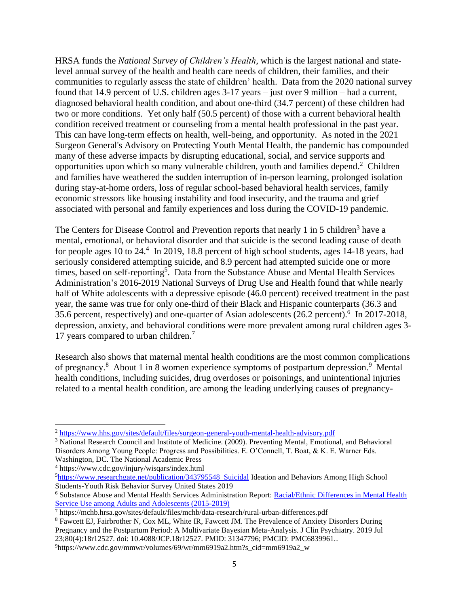HRSA funds the *National Survey of Children's Health*, which is the largest national and statelevel annual survey of the health and health care needs of children, their families, and their communities to regularly assess the state of children' health. Data from the 2020 national survey found that 14.9 percent of U.S. children ages 3-17 years – just over 9 million – had a current, diagnosed behavioral health condition, and about one-third (34.7 percent) of these children had two or more conditions. Yet only half (50.5 percent) of those with a current behavioral health condition received treatment or counseling from a mental health professional in the past year. This can have long-term effects on health, well-being, and opportunity. As noted in the 2021 Surgeon General's Advisory on Protecting Youth Mental Health, the pandemic has compounded many of these adverse impacts by disrupting educational, social, and service supports and opportunities upon which so many vulnerable children, youth and families depend. <sup>2</sup> Children and families have weathered the sudden interruption of in-person learning, prolonged isolation during stay-at-home orders, loss of regular school-based behavioral health services, family economic stressors like housing instability and food insecurity, and the trauma and grief associated with personal and family experiences and loss during the COVID-19 pandemic.

The Centers for Disease Control and Prevention reports that nearly 1 in 5 children<sup>3</sup> have a mental, emotional, or behavioral disorder and that suicide is the second leading cause of death for people ages 10 to 24.<sup>4</sup> In 2019, 18.8 percent of high school students, ages 14-18 years, had seriously considered attempting suicide, and 8.9 percent had attempted suicide one or more times, based on self-reporting<sup>5</sup>. Data from the Substance Abuse and Mental Health Services Administration's 2016-2019 National Surveys of Drug Use and Health found that while nearly half of White adolescents with a depressive episode (46.0 percent) received treatment in the past year, the same was true for only one-third of their Black and Hispanic counterparts (36.3 and 35.6 percent, respectively) and one-quarter of Asian adolescents (26.2 percent).<sup>6</sup> In 2017-2018, depression, anxiety, and behavioral conditions were more prevalent among rural children ages 3- 17 years compared to urban children. 7

Research also shows that maternal mental health conditions are the most common complications of pregnancy.<sup>8</sup> About 1 in 8 women experience symptoms of postpartum depression.<sup>9</sup> Mental health conditions, including suicides, drug overdoses or poisonings, and unintentional injuries related to a mental health condition, are among the leading underlying causes of pregnancy-

<sup>2</sup> <https://www.hhs.gov/sites/default/files/surgeon-general-youth-mental-health-advisory.pdf>

<sup>3</sup> National Research Council and Institute of Medicine. (2009). Preventing Mental, Emotional, and Behavioral Disorders Among Young People: Progress and Possibilities. E. O'Connell, T. Boat, & K. E. Warner Eds. Washington, DC. The National Academic Press

<sup>4</sup> https://www.cdc.gov/injury/wisqars/index.html

<sup>5</sup>[https://www.researchgate.net/publication/343795548\\_Suicidal](https://www.researchgate.net/publication/343795548_Suicidal) Ideation and Behaviors Among High School Students-Youth Risk Behavior Survey United States 2019

<sup>6</sup> Substance Abuse and Mental Health Services Administration Report[: Racial/Ethnic Differences in Mental Health](https://www.samhsa.gov/data/sites/default/files/reports/rpt35324/2021NSDUHMHChartbook102221B.pdf)  [Service Use among Adults and Adolescents \(2015-2019\)](https://www.samhsa.gov/data/sites/default/files/reports/rpt35324/2021NSDUHMHChartbook102221B.pdf)

<sup>7</sup> https://mchb.hrsa.gov/sites/default/files/mchb/data-research/rural-urban-differences.pdf

<sup>8</sup> Fawcett EJ, Fairbrother N, Cox ML, White IR, Fawcett JM. The Prevalence of Anxiety Disorders During Pregnancy and the Postpartum Period: A Multivariate Bayesian Meta-Analysis. J Clin Psychiatry. 2019 Jul 23;80(4):18r12527. doi: 10.4088/JCP.18r12527. PMID: 31347796; PMCID: PMC6839961..

<sup>9</sup>https://www.cdc.gov/mmwr/volumes/69/wr/mm6919a2.htm?s\_cid=mm6919a2\_w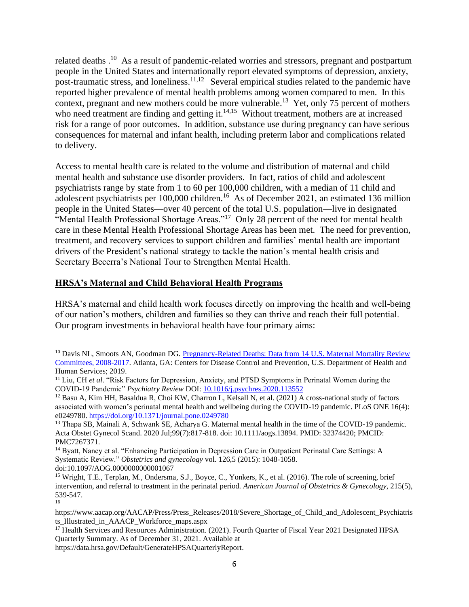related deaths .<sup>10</sup> As a result of pandemic-related worries and stressors, pregnant and postpartum people in the United States and internationally report elevated symptoms of depression, anxiety, post-traumatic stress, and loneliness.<sup>11,12</sup> Several empirical studies related to the pandemic have reported higher prevalence of mental health problems among women compared to men. In this context, pregnant and new mothers could be more vulnerable.<sup>13</sup> Yet, only 75 percent of mothers who need treatment are finding and getting it. $14,15$  Without treatment, mothers are at increased risk for a range of poor outcomes. In addition, substance use during pregnancy can have serious consequences for maternal and infant health, including preterm labor and complications related to delivery.

Access to mental health care is related to the volume and distribution of maternal and child mental health and substance use disorder providers. In fact, ratios of child and adolescent psychiatrists range by state from 1 to 60 per 100,000 children, with a median of 11 child and adolescent psychiatrists per 100,000 children.<sup>16</sup> As of December 2021, an estimated 136 million people in the United States—over 40 percent of the total U.S. population—live in designated "Mental Health Professional Shortage Areas."<sup>17</sup> Only 28 percent of the need for mental health care in these Mental Health Professional Shortage Areas has been met. The need for prevention, treatment, and recovery services to support children and families' mental health are important drivers of the President's national strategy to tackle the nation's mental health crisis and Secretary Becerra's National Tour to Strengthen Mental Health.

#### **HRSA's Maternal and Child Behavioral Health Programs**

HRSA's maternal and child health work focuses directly on improving the health and well-being of our nation's mothers, children and families so they can thrive and reach their full potential. Our program investments in behavioral health have four primary aims:

16

<sup>&</sup>lt;sup>10</sup> Davis NL, Smoots AN, Goodman DG. Pregnancy-Related Deaths: Data from 14 U.S. Maternal Mortality Review [Committees, 2008-2017.](https://www.cdc.gov/reproductivehealth/maternal-mortality/erase-mm/MMR-Data-Brief_2019-h.pdf) Atlanta, GA: Centers for Disease Control and Prevention, U.S. Department of Health and Human Services; 2019.

<sup>&</sup>lt;sup>11</sup> Liu, CH *et al.* "Risk Factors for Depression, Anxiety, and PTSD Symptoms in Perinatal Women during the COVID-19 Pandemic" *Psychiatry Review* DOI: [10.1016/j.psychres.2020.113552](https://www.sciencedirect.com/science/article/abs/pii/S0165178120332133)

<sup>&</sup>lt;sup>12</sup> Basu A, Kim HH, Basaldua R, Choi KW, Charron L, Kelsall N, et al. (2021) A cross-national study of factors associated with women's perinatal mental health and wellbeing during the COVID-19 pandemic. PLoS ONE 16(4): e0249780[. https://doi.org/10.1371/journal.pone.0249780](https://doi.org/10.1371/journal.pone.0249780)

<sup>13</sup> Thapa SB, Mainali A, Schwank SE, Acharya G. Maternal mental health in the time of the COVID-19 pandemic. Acta Obstet Gynecol Scand. 2020 Jul;99(7):817-818. doi: 10.1111/aogs.13894. PMID: 32374420; PMCID: PMC7267371.

<sup>&</sup>lt;sup>14</sup> Byatt, Nancy et al. "Enhancing Participation in Depression Care in Outpatient Perinatal Care Settings: A Systematic Review." *Obstetrics and gynecology* vol. 126,5 (2015): 1048-1058. doi:10.1097/AOG.0000000000001067

<sup>15</sup> Wright, T.E., Terplan, M., Ondersma, S.J., Boyce, C., Yonkers, K., et al. (2016). The role of screening, brief intervention, and referral to treatment in the perinatal period. *American Journal of Obstetrics & Gynecology*, 215(5), 539-547.

https://www.aacap.org/AACAP/Press/Press\_Releases/2018/Severe\_Shortage\_of\_Child\_and\_Adolescent\_Psychiatris ts\_Illustrated\_in\_AAACP\_Workforce\_maps.aspx

<sup>&</sup>lt;sup>17</sup> Health Services and Resources Administration. (2021). Fourth Quarter of Fiscal Year 2021 Designated HPSA Quarterly Summary. As of December 31, 2021. Available at

https://data.hrsa.gov/Default/GenerateHPSAQuarterlyReport.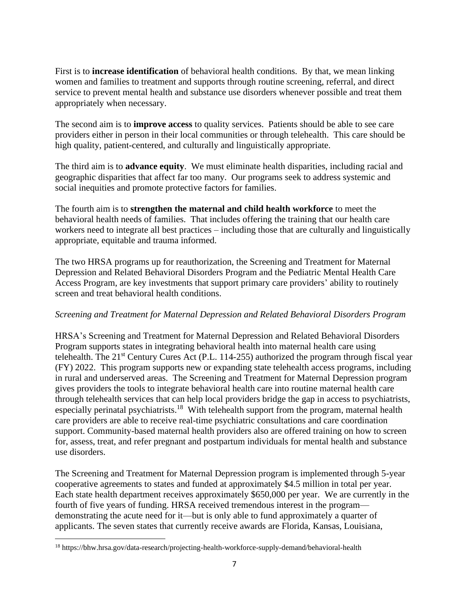First is to **increase identification** of behavioral health conditions. By that, we mean linking women and families to treatment and supports through routine screening, referral, and direct service to prevent mental health and substance use disorders whenever possible and treat them appropriately when necessary.

The second aim is to **improve access** to quality services. Patients should be able to see care providers either in person in their local communities or through telehealth. This care should be high quality, patient-centered, and culturally and linguistically appropriate.

The third aim is to **advance equity**. We must eliminate health disparities, including racial and geographic disparities that affect far too many. Our programs seek to address systemic and social inequities and promote protective factors for families.

The fourth aim is to **strengthen the maternal and child health workforce** to meet the behavioral health needs of families. That includes offering the training that our health care workers need to integrate all best practices – including those that are culturally and linguistically appropriate, equitable and trauma informed.

The two HRSA programs up for reauthorization, the Screening and Treatment for Maternal Depression and Related Behavioral Disorders Program and the Pediatric Mental Health Care Access Program, are key investments that support primary care providers' ability to routinely screen and treat behavioral health conditions.

# *Screening and Treatment for Maternal Depression and Related Behavioral Disorders Program*

HRSA's Screening and Treatment for Maternal Depression and Related Behavioral Disorders Program supports states in integrating behavioral health into maternal health care using telehealth. The 21<sup>st</sup> Century Cures Act (P.L. 114-255) authorized the program through fiscal year (FY) 2022. This program supports new or expanding state telehealth access programs, including in rural and underserved areas. The Screening and Treatment for Maternal Depression program gives providers the tools to integrate behavioral health care into routine maternal health care through telehealth services that can help local providers bridge the gap in access to psychiatrists, especially perinatal psychiatrists.<sup>18</sup> With telehealth support from the program, maternal health care providers are able to receive real-time psychiatric consultations and care coordination support. Community-based maternal health providers also are offered training on how to screen for, assess, treat, and refer pregnant and postpartum individuals for mental health and substance use disorders.

The Screening and Treatment for Maternal Depression program is implemented through 5-year cooperative agreements to states and funded at approximately \$4.5 million in total per year. Each state health department receives approximately \$650,000 per year. We are currently in the fourth of five years of funding. HRSA received tremendous interest in the program demonstrating the acute need for it—but is only able to fund approximately a quarter of applicants. The seven states that currently receive awards are Florida, Kansas, Louisiana,

<sup>18</sup> https://bhw.hrsa.gov/data-research/projecting-health-workforce-supply-demand/behavioral-health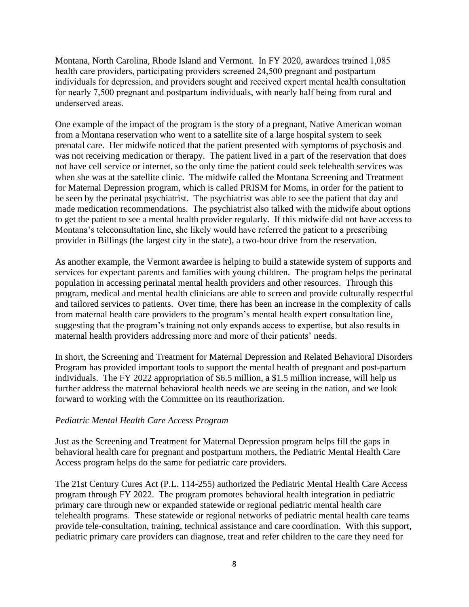Montana, North Carolina, Rhode Island and Vermont. In FY 2020, awardees trained 1,085 health care providers, participating providers screened 24,500 pregnant and postpartum individuals for depression, and providers sought and received expert mental health consultation for nearly 7,500 pregnant and postpartum individuals, with nearly half being from rural and underserved areas.

One example of the impact of the program is the story of a pregnant, Native American woman from a Montana reservation who went to a satellite site of a large hospital system to seek prenatal care. Her midwife noticed that the patient presented with symptoms of psychosis and was not receiving medication or therapy. The patient lived in a part of the reservation that does not have cell service or internet, so the only time the patient could seek telehealth services was when she was at the satellite clinic. The midwife called the Montana Screening and Treatment for Maternal Depression program, which is called PRISM for Moms, in order for the patient to be seen by the perinatal psychiatrist. The psychiatrist was able to see the patient that day and made medication recommendations. The psychiatrist also talked with the midwife about options to get the patient to see a mental health provider regularly. If this midwife did not have access to Montana's teleconsultation line, she likely would have referred the patient to a prescribing provider in Billings (the largest city in the state), a two-hour drive from the reservation.

As another example, the Vermont awardee is helping to build a statewide system of supports and services for expectant parents and families with young children. The program helps the perinatal population in accessing perinatal mental health providers and other resources. Through this program, medical and mental health clinicians are able to screen and provide culturally respectful and tailored services to patients. Over time, there has been an increase in the complexity of calls from maternal health care providers to the program's mental health expert consultation line, suggesting that the program's training not only expands access to expertise, but also results in maternal health providers addressing more and more of their patients' needs.

In short, the Screening and Treatment for Maternal Depression and Related Behavioral Disorders Program has provided important tools to support the mental health of pregnant and post-partum individuals. The FY 2022 appropriation of \$6.5 million, a \$1.5 million increase, will help us further address the maternal behavioral health needs we are seeing in the nation, and we look forward to working with the Committee on its reauthorization.

#### *Pediatric Mental Health Care Access Program*

Just as the Screening and Treatment for Maternal Depression program helps fill the gaps in behavioral health care for pregnant and postpartum mothers, the Pediatric Mental Health Care Access program helps do the same for pediatric care providers.

The 21st Century Cures Act (P.L. 114-255) authorized the Pediatric Mental Health Care Access program through FY 2022. The program promotes behavioral health integration in pediatric primary care through new or expanded statewide or regional pediatric mental health care telehealth programs. These statewide or regional networks of pediatric mental health care teams provide tele-consultation, training, technical assistance and care coordination. With this support, pediatric primary care providers can diagnose, treat and refer children to the care they need for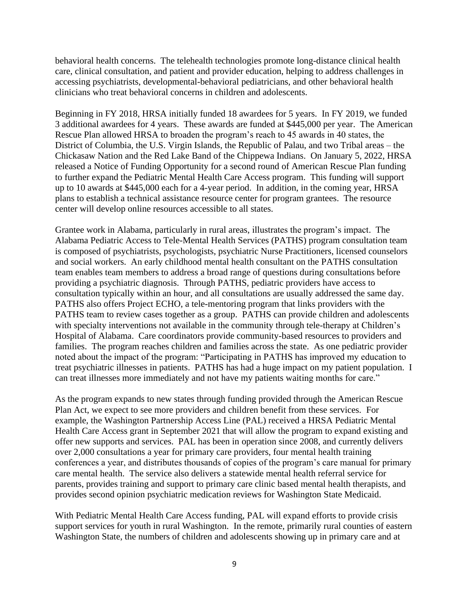behavioral health concerns. The telehealth technologies promote long-distance clinical health care, clinical consultation, and patient and provider education, helping to address challenges in accessing psychiatrists, developmental-behavioral pediatricians, and other behavioral health clinicians who treat behavioral concerns in children and adolescents.

Beginning in FY 2018, HRSA initially funded 18 awardees for 5 years. In FY 2019, we funded 3 additional awardees for 4 years. These awards are funded at \$445,000 per year. The American Rescue Plan allowed HRSA to broaden the program's reach to 45 awards in 40 states, the District of Columbia, the U.S. Virgin Islands, the Republic of Palau, and two Tribal areas – the Chickasaw Nation and the Red Lake Band of the Chippewa Indians. On January 5, 2022, HRSA released a Notice of Funding Opportunity for a second round of American Rescue Plan funding to further expand the Pediatric Mental Health Care Access program. This funding will support up to 10 awards at \$445,000 each for a 4-year period. In addition, in the coming year, HRSA plans to establish a technical assistance resource center for program grantees. The resource center will develop online resources accessible to all states.

Grantee work in Alabama, particularly in rural areas, illustrates the program's impact. The Alabama Pediatric Access to Tele-Mental Health Services (PATHS) program consultation team is composed of psychiatrists, psychologists, psychiatric Nurse Practitioners, licensed counselors and social workers. An early childhood mental health consultant on the PATHS consultation team enables team members to address a broad range of questions during consultations before providing a psychiatric diagnosis. Through PATHS, pediatric providers have access to consultation typically within an hour, and all consultations are usually addressed the same day. PATHS also offers Project ECHO, a tele-mentoring program that links providers with the PATHS team to review cases together as a group. PATHS can provide children and adolescents with specialty interventions not available in the community through tele-therapy at Children's Hospital of Alabama. Care coordinators provide community-based resources to providers and families. The program reaches children and families across the state. As one pediatric provider noted about the impact of the program: "Participating in PATHS has improved my education to treat psychiatric illnesses in patients. PATHS has had a huge impact on my patient population. I can treat illnesses more immediately and not have my patients waiting months for care."

As the program expands to new states through funding provided through the American Rescue Plan Act, we expect to see more providers and children benefit from these services. For example, the Washington Partnership Access Line (PAL) received a HRSA Pediatric Mental Health Care Access grant in September 2021 that will allow the program to expand existing and offer new supports and services. PAL has been in operation since 2008, and currently delivers over 2,000 consultations a year for primary care providers, four mental health training conferences a year, and distributes thousands of copies of the program's care manual for primary care mental health. The service also delivers a statewide mental health referral service for parents, provides training and support to primary care clinic based mental health therapists, and provides second opinion psychiatric medication reviews for Washington State Medicaid.

With Pediatric Mental Health Care Access funding, PAL will expand efforts to provide crisis support services for youth in rural Washington. In the remote, primarily rural counties of eastern Washington State, the numbers of children and adolescents showing up in primary care and at